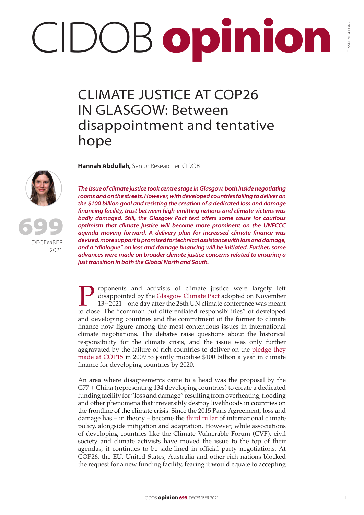## CIDOB opinion

## CLIMATE JUSTICE AT COP26 IN GLASGOW: Between disappointment and tentative hope

**Hannah Abdullah,** Senior Researcher, CIDOB



699

DECEMBER 2021 *The issue of climate justice took centre stage in Glasgow, both inside negotiating rooms and on the streets. However, with developed countries failing to deliver on the \$100 billion goal and resisting the creation of a dedicated loss and damage financing facility, trust between high-emitting nations and climate victims was badly damaged. Still, the Glasgow Pact text offers some cause for cautious optimism that climate justice will become more prominent on the UNFCCC agenda moving forward. A delivery plan for increased climate finance was devised, more support is promised for technical assistance with loss and damage, and a "dialogue" on loss and damage financing will be initiated. Further, some advances were made on broader climate justice concerns related to ensuring a just transition in both the Global North and South.*

**Proponents and act[ivists of climate just](https://unfccc.int/sites/default/files/resource/cma2021_L16_adv.pdf)ice were largely left** disappointed by the Glasgow Climate Pact adopted on November 13<sup>th</sup> 2021 – one day after the 26th UN climate conference was meant to close. The "common but di disappointed by the Glasgow Climate Pact adopted on November 13<sup>th</sup> 2021 – one day after the 26th UN climate conference was meant to close. The "common but differentiated responsibilities" of developed and developing countries and the commitment of the former to climate finance now figure among the most contentious issues in international climate negotiations. The debates raise questions about the historical responsibility for the climate crisis, and the issue was only further aggravated by the failure of rich countries to deliver on the [pledge they](https://www.nature.com/articles/d41586-021-02846-3)  [made at COP15](https://www.nature.com/articles/d41586-021-02846-3) in 2009 to jointly mobilise \$100 billion a year in climate finance for developing countries by 2020.

An area where disagreements came to a head was the proposal by the G77 + China (representing 134 developing countries) to create a dedicated funding facility for "loss and damage" resulting from overheating, flooding and other phenomena that irreversibly destroy livelihoods in countries on the frontline of the climate crisis. Since the 2015 Paris Agreement, loss and damage has – in theory – become the [third pillar](https://www.carbonbrief.org/cop26-key-outcomes-agreed-at-the-un-climate-talks-in-glasgow) of international climate policy, alongside mitigation and adaptation. However, while associations of developing countries like the Climate Vulnerable Forum (CVF), civil society and climate activists have moved the issue to the top of their agendas, it continues to be side-lined in official party negotiations. At COP26, the EU, United States, Australia and other rich nations blocked the request for a new funding facility, fearing it would equate to accepting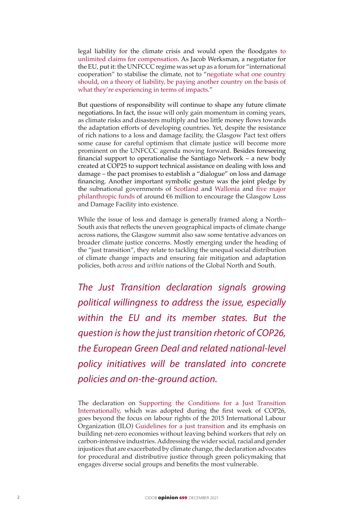legal liability for the climate crisis and would open the floodgates [to](https://www.politico.eu/article/cop26-glasgow-climate-talks-compensation-demands-rich-poor-countries/)  [unlimited claims for compensation.](https://www.politico.eu/article/cop26-glasgow-climate-talks-compensation-demands-rich-poor-countries/) As Jacob Werksman, a negotiator for the EU, put it: the UNFCCC regime was set up as a forum for "international cooperation" to stabilise the climate, not to "[negotiate what one country](https://www.politico.eu/article/cop26-glasgow-climate-talks-compensation-demands-rich-poor-countries/)  [should, on a theory of liability, be paying another country on the basis of](https://www.politico.eu/article/cop26-glasgow-climate-talks-compensation-demands-rich-poor-countries/)  [what they're experiencing in terms of impacts](https://www.politico.eu/article/cop26-glasgow-climate-talks-compensation-demands-rich-poor-countries/)."

But questions of responsibility will continue to shape any future climate negotiations. In fact, the issue will only gain momentum in coming years, as climate risks and disasters multiply and too little money flows towards the adaptation efforts of developing countries. Yet, despite the resistance of rich nations to a loss and damage facility, the Glasgow Pact text offers some cause for careful optimism that climate justice will become more prominent on the UNFCCC agenda moving forward. Besides foreseeing financial support to operationalise the Santiago Network – a new body created at COP25 to support technical assistance on dealing with loss and damage – the pact promises to establish a "dialogue" on loss and damage financing. Another important symbolic gesture was the joint pledge by the subnational governments of [Scotland](https://www.gov.scot/news/scotland-to-boost-climate-funding/) and [Wallonia](https://positivelyscottish.scot/top-news/wallonia-joins-scotland-and-dedicates-one-million-euros-to-the-loss-and-damage-section/) and [five major](https://docs.google.com/document/d/1xePvfzKFNEaC6-QN1qKTknwMA8BcSwFa/edit)  [philanthropic funds](https://docs.google.com/document/d/1xePvfzKFNEaC6-QN1qKTknwMA8BcSwFa/edit) of around €6 million to encourage the Glasgow Loss and Damage Facility into existence.

While the issue of loss and damage is generally framed along a North– South axis that reflects the uneven geographical impacts of climate change across nations, the Glasgow summit also saw some tentative advances on broader climate justice concerns. Mostly emerging under the heading of the "just transition", they relate to tackling the unequal social distribution of climate change impacts and ensuring fair mitigation and adaptation policies, both *across* and *within* nations of the Global North and South.

*The Just Transition declaration signals growing political willingness to address the issue, especially within the EU and its member states. But the question is how the just transition rhetoric of COP26, the European Green Deal and related national-level policy initiatives will be translated into concrete policies and on-the-ground action.*

The declaration on [Supporting the Conditions for a Just Transition](https://ukcop26.org/supporting-the-conditions-for-a-just-transition-internationally/)  [Internationally](https://ukcop26.org/supporting-the-conditions-for-a-just-transition-internationally/), which was adopted during the first week of COP26, goes beyond the focus on labour rights of the 2015 International Labour Organization (ILO) [Guidelines for a just transition](https://www.ilo.org/wcmsp5/groups/public/---ed_emp/---emp_ent/documents/publication/wcms_432859.pdf) and its emphasis on building net-zero economies without leaving behind workers that rely on carbon-intensive industries. Addressing the wider social, racial and gender injustices that are exacerbated by climate change, the declaration advocates for procedural and distributive justice through green policymaking that engages diverse social groups and benefits the most vulnerable.